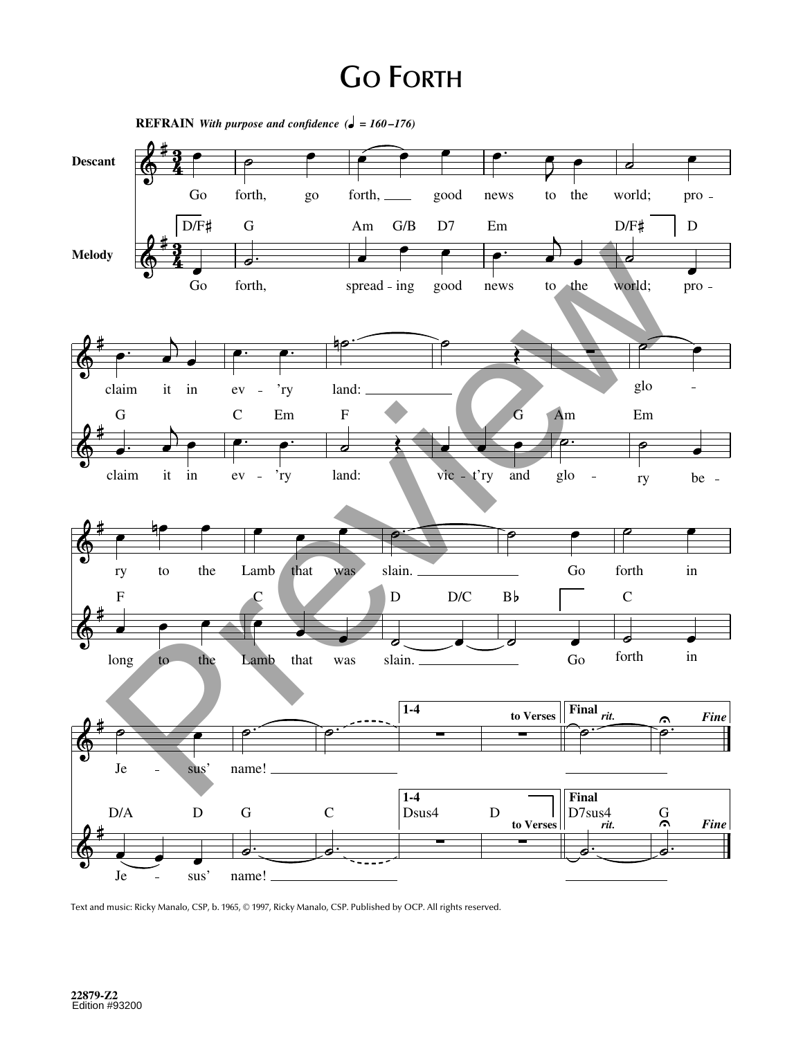## **GO FORTH**



Text and music: Ricky Manalo, CSP, b. 1965, © 1997, Ricky Manalo, CSP. Published by OCP. All rights reserved.